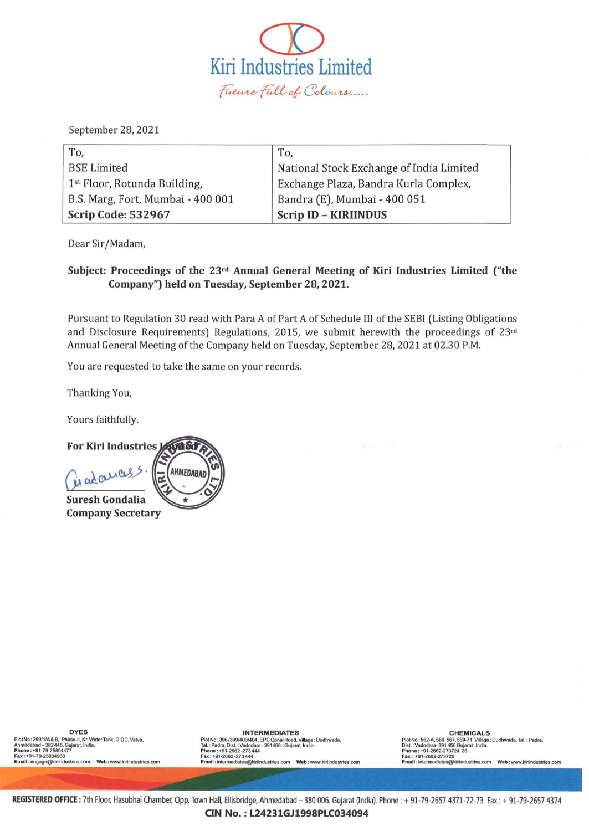

September 28.2021

| To,                               | To,                                      |
|-----------------------------------|------------------------------------------|
| <b>BSE Limited</b>                | National Stock Exchange of India Limited |
| 1st Floor, Rotunda Building,      | Exchange Plaza, Bandra Kurla Complex,    |
| B.S. Marg, Fort, Mumbai - 400 001 | Bandra (E), Mumbai - 400 051             |
| Scrip Code: 532967                | <b>Scrip ID - KIRIINDUS</b>              |

Dear Sir/Madam,

## Subject: Proceedings of the 23<sup>rd</sup> Annual General Meeting of Kiri Industries Limited ("the Company") held on Tuesday, September 28, 2021.

Pursuant to Regulation 30 read with Para A of Part A of Schedule III of the SEBI (Listing Obligations and Disclosure Requirements) Regulations, 2015, we submit herewith the proceedings of  $23<sup>rd</sup>$ Annual General Meeting of the Company held on Tuesday, September 28, 2021 at 02.30 P.M.

 $\epsilon(\vec{x}-\vec{y}) = \vec{y} = 0$ 

You are requested to take the same on your records.

Thanking You,

Yours faithfully.

**Ayıt Sd For Kiri Industries J** Madaras AHMEDABAD Suresh Gondalia Company Secretary

Plot No: 299/1/A&B, Phase-II, Nr. Water Tank, GIDC, Vatva,<br>Ahmedabad - 382 445, Gujarat, India.<br>Phone : +91-79-2583496477<br>Fax : +91-79-25834960<br>Email : engage@kiriindustries.com Web : www.kiriindustries.com

DYES DYES<br>Ahmedabad - 382 445, Gujarat, Int. Water Tank, GIDC, Vatva, Plot No: 3967399/404, EPC Canal Road, Village : Dudhwada, Prothy of S2-A, 566, 567, 568, 567, 568-2, 273 Ahmedabad - 382 445, Gujarat, India.<br>Ahmedabad CHEMICALS<br>Plot No : 552-A, 566, 567, 569-71 , Village : Dudhwada, Tal. : Padra,<br>Dist. : Vadodara- 391 450 Gujarat , India.<br>Phone : +91-2662-273724, 25<br>Fax : +91-2662-273726<br>Email : intermediates@kiriindustries.com Web : ww

REGISTERED OFFICE: 7th Floor, Hasubhai Chamber, Opp. Town Hall, Ellisbridge, Ahmedabad - 380 006. Gujarat (India). Phone : + 91-79-2657 4371-72-73 Fax : + 91-79-2657 4374

CINNo.:L24231GJ1998PLC034094